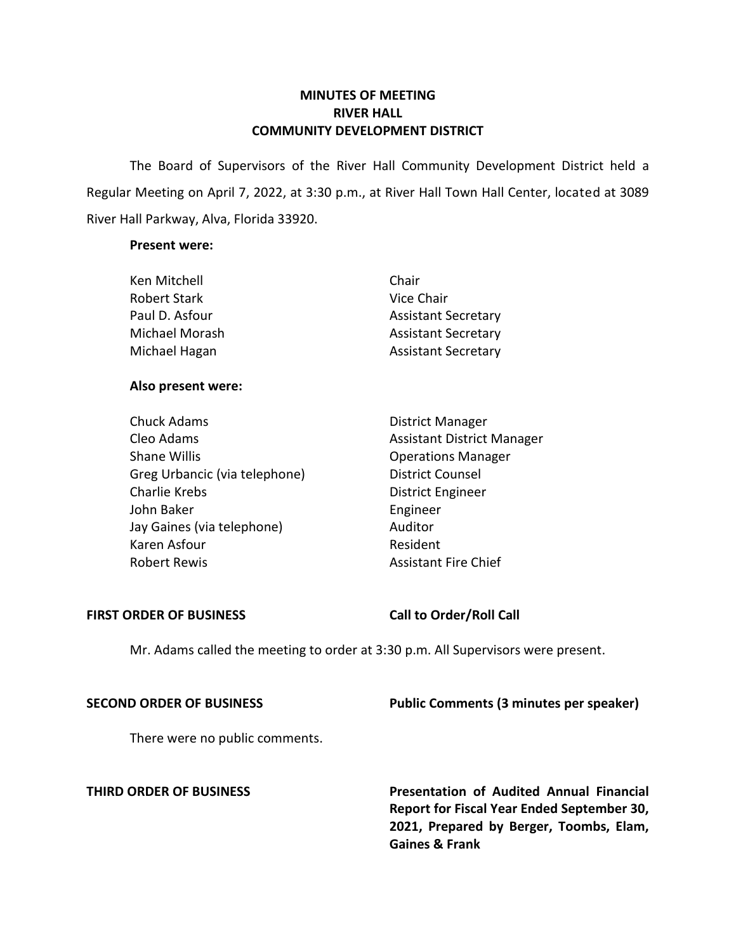# **MINUTES OF MEETING RIVER HALL COMMUNITY DEVELOPMENT DISTRICT**

 The Board of Supervisors of the River Hall Community Development District held a Regular Meeting on April 7, 2022, at 3:30 p.m., at River Hall Town Hall Center, located at 3089 River Hall Parkway, Alva, Florida 33920.

# **Present were:**

| Ken Mitchell        | Chair                      |
|---------------------|----------------------------|
| <b>Robert Stark</b> | Vice Chair                 |
| Paul D. Asfour      | <b>Assistant Secretary</b> |
| Michael Morash      | <b>Assistant Secretary</b> |
| Michael Hagan       | <b>Assistant Secretary</b> |

# **Also present were:**

| <b>Chuck Adams</b>            | District Manager                  |
|-------------------------------|-----------------------------------|
| Cleo Adams                    | <b>Assistant District Manager</b> |
| <b>Shane Willis</b>           | <b>Operations Manager</b>         |
| Greg Urbancic (via telephone) | <b>District Counsel</b>           |
| <b>Charlie Krebs</b>          | District Engineer                 |
| John Baker                    | Engineer                          |
| Jay Gaines (via telephone)    | Auditor                           |
| Karen Asfour                  | Resident                          |
| <b>Robert Rewis</b>           | <b>Assistant Fire Chief</b>       |

# FIRST ORDER OF BUSINESS Call to Order/Roll Call

Mr. Adams called the meeting to order at 3:30 p.m. All Supervisors were present.

# **SECOND ORDER OF BUSINESS**

 **Public Comments (3 minutes per speaker)** 

There were no public comments.

### **THIRD ORDER OF BUSINESS**

 **Report for Fiscal Year Ended September 30, 2021, Prepared by Berger, Toombs, Elam, Presentation of Audited Annual Financial Gaines & Frank**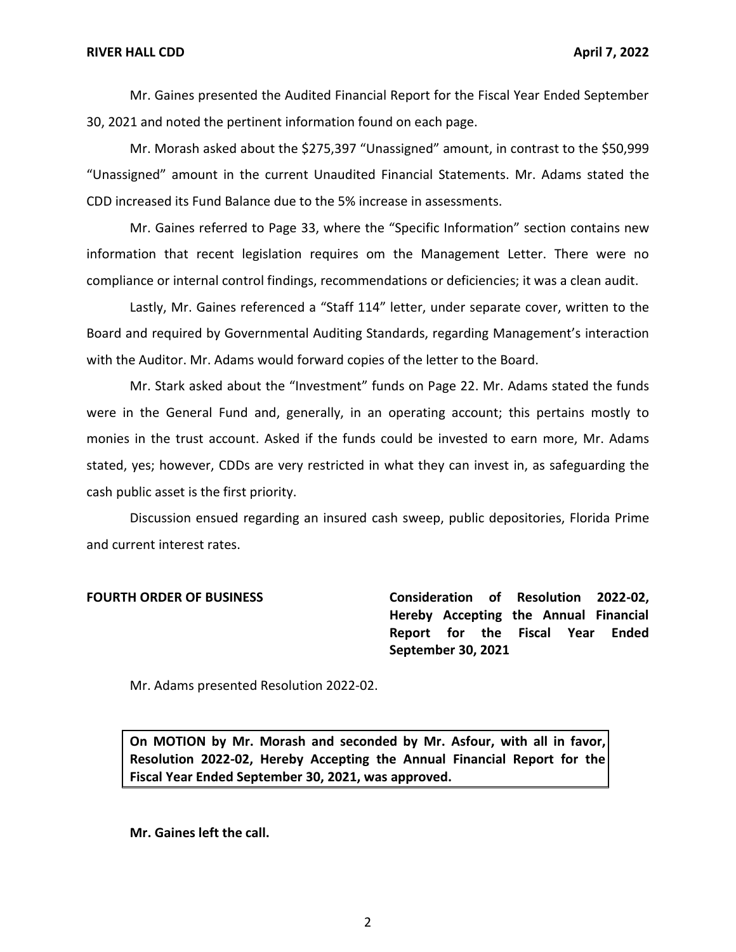Mr. Gaines presented the Audited Financial Report for the Fiscal Year Ended September 30, 2021 and noted the pertinent information found on each page.

Mr. Morash asked about the \$275,397 "Unassigned" amount, in contrast to the \$50,999 "Unassigned" amount in the current Unaudited Financial Statements. Mr. Adams stated the CDD increased its Fund Balance due to the 5% increase in assessments.

Mr. Gaines referred to Page 33, where the "Specific Information" section contains new information that recent legislation requires om the Management Letter. There were no compliance or internal control findings, recommendations or deficiencies; it was a clean audit.

Lastly, Mr. Gaines referenced a "Staff 114" letter, under separate cover, written to the Board and required by Governmental Auditing Standards, regarding Management's interaction with the Auditor. Mr. Adams would forward copies of the letter to the Board.

Mr. Stark asked about the "Investment" funds on Page 22. Mr. Adams stated the funds were in the General Fund and, generally, in an operating account; this pertains mostly to monies in the trust account. Asked if the funds could be invested to earn more, Mr. Adams stated, yes; however, CDDs are very restricted in what they can invest in, as safeguarding the cash public asset is the first priority.

Discussion ensued regarding an insured cash sweep, public depositories, Florida Prime and current interest rates.

FOURTH ORDER OF BUSINESS **Consideration of Resolution 2022-02**,  **Hereby Accepting the Annual Financial Report for the Fiscal Year Ended September 30, 2021** 

Mr. Adams presented Resolution 2022-02.

 **On MOTION by Mr. Morash and seconded by Mr. Asfour, with all in favor, Resolution 2022-02, Hereby Accepting the Annual Financial Report for the Fiscal Year Ended September 30, 2021, was approved.** 

**Mr. Gaines left the call.**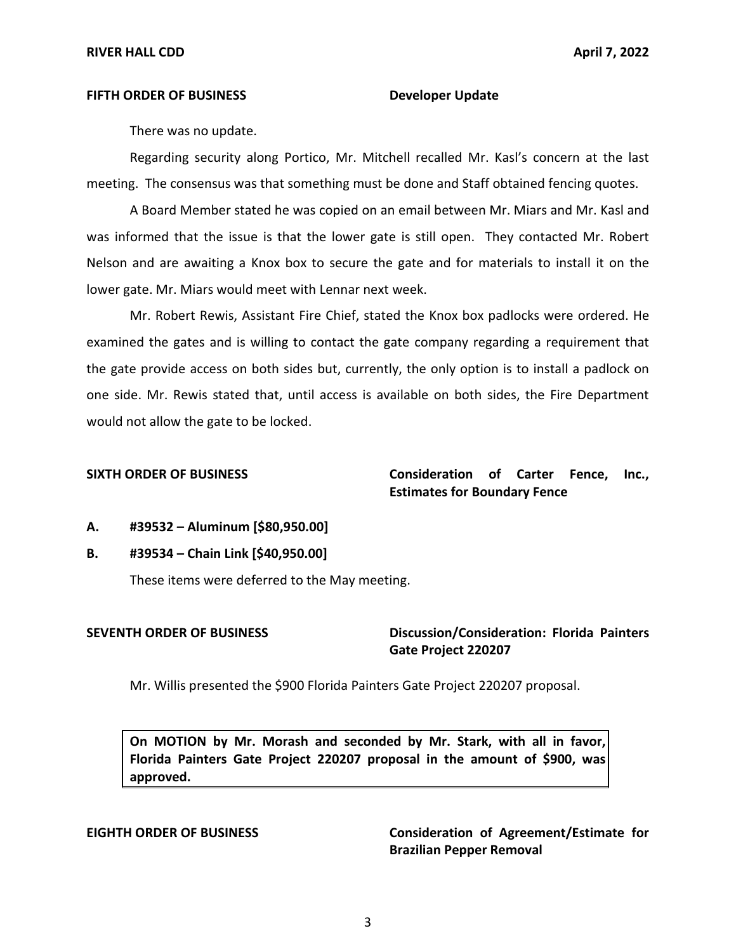### **FIFTH ORDER OF BUSINESS Developer Update**

There was no update.

Regarding security along Portico, Mr. Mitchell recalled Mr. Kasl's concern at the last meeting. The consensus was that something must be done and Staff obtained fencing quotes.

A Board Member stated he was copied on an email between Mr. Miars and Mr. Kasl and was informed that the issue is that the lower gate is still open. They contacted Mr. Robert Nelson and are awaiting a Knox box to secure the gate and for materials to install it on the lower gate. Mr. Miars would meet with Lennar next week.

Mr. Robert Rewis, Assistant Fire Chief, stated the Knox box padlocks were ordered. He examined the gates and is willing to contact the gate company regarding a requirement that the gate provide access on both sides but, currently, the only option is to install a padlock on one side. Mr. Rewis stated that, until access is available on both sides, the Fire Department would not allow the gate to be locked.

SIXTH ORDER OF BUSINESS **Consideration of Carter Fence, Inc.**, **Estimates for Boundary Fence** 

- **A. #39532 – Aluminum [\$[80,950.00\]](https://80,950.00)**
- **B. #39534 – Chain Link [\$[40,950.00\]](https://40,950.00)**

These items were deferred to the May meeting.

**SEVENTH ORDER OF BUSINESS Discussion/Consideration: Florida Painters Gate Project 220207** 

Mr. Willis presented the \$900 Florida Painters Gate Project 220207 proposal.

 **On MOTION by Mr. Morash and seconded by Mr. Stark, with all in favor, Florida Painters Gate Project 220207 proposal in the amount of \$900, was approved.** 

 **EIGHTH ORDER OF BUSINESS Consideration of Agreement/Estimate for Brazilian Pepper Removal**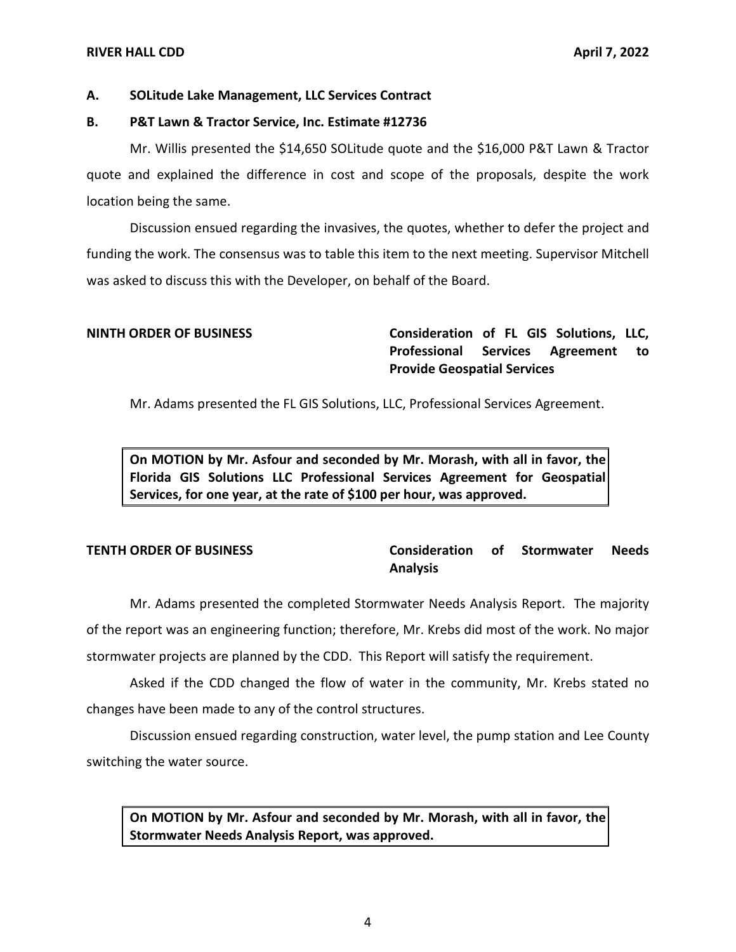# **RIVER HALL CDD April 7, 2022**

# **A. SOLitude Lake Management, LLC Services Contract**

# **B. P&T Lawn & Tractor Service, Inc. Estimate #12736**

Mr. Willis presented the \$14,650 SOLitude quote and the \$16,000 P&T Lawn & Tractor quote and explained the difference in cost and scope of the proposals, despite the work location being the same.

Discussion ensued regarding the invasives, the quotes, whether to defer the project and funding the work. The consensus was to table this item to the next meeting. Supervisor Mitchell was asked to discuss this with the Developer, on behalf of the Board.

 **NINTH ORDER OF BUSINESS Consideration of FL GIS Solutions, LLC, Professional Services Agreement to Provide Geospatial Services** 

Mr. Adams presented the FL GIS Solutions, LLC, Professional Services Agreement.

 **On MOTION by Mr. Asfour and seconded by Mr. Morash, with all in favor, the Florida GIS Solutions LLC Professional Services Agreement for Geospatial Services, for one year, at the rate of \$100 per hour, was approved.** 

# **TENTH ORDER OF BUSINESS Consideration of Stormwater Needs Analysis**

Mr. Adams presented the completed Stormwater Needs Analysis Report. The majority of the report was an engineering function; therefore, Mr. Krebs did most of the work. No major stormwater projects are planned by the CDD. This Report will satisfy the requirement.

Asked if the CDD changed the flow of water in the community, Mr. Krebs stated no changes have been made to any of the control structures.

Discussion ensued regarding construction, water level, the pump station and Lee County switching the water source.

 **On MOTION by Mr. Asfour and seconded by Mr. Morash, with all in favor, the Stormwater Needs Analysis Report, was approved.**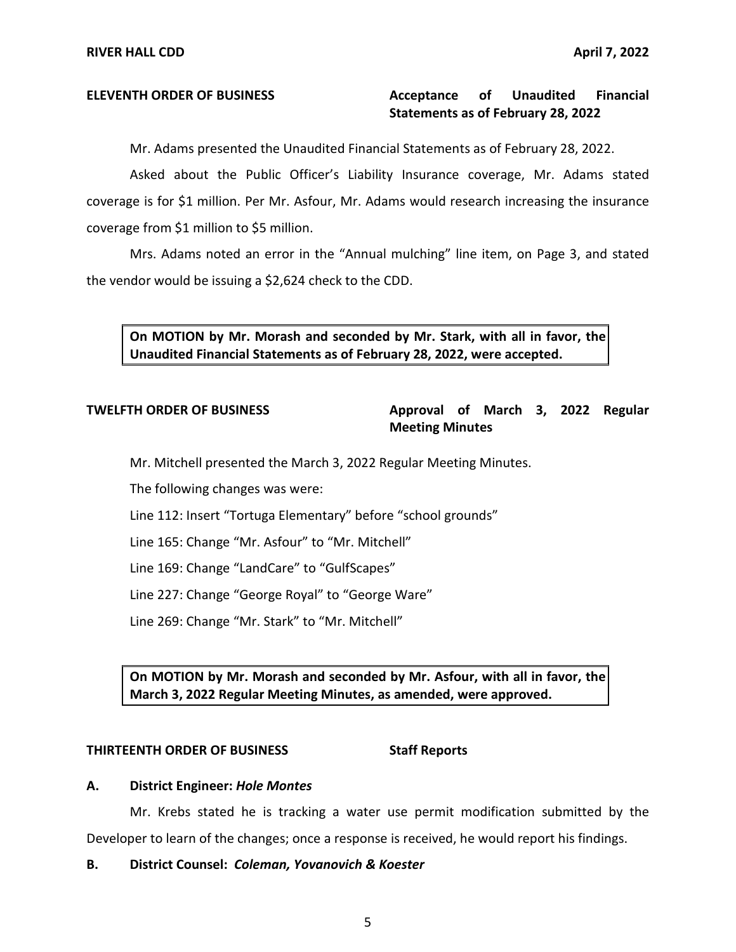# **ELEVENTH ORDER OF BUSINESS Acceptance of Unaudited Financial Statements as of February 28, 2022**

Mr. Adams presented the Unaudited Financial Statements as of February 28, 2022.

Asked about the Public Officer's Liability Insurance coverage, Mr. Adams stated coverage is for \$1 million. Per Mr. Asfour, Mr. Adams would research increasing the insurance coverage from \$1 million to \$5 million.

Mrs. Adams noted an error in the "Annual mulching" line item, on Page 3, and stated the vendor would be issuing a \$2,624 check to the CDD.

 **On MOTION by Mr. Morash and seconded by Mr. Stark, with all in favor, the Unaudited Financial Statements as of February 28, 2022, were accepted.** 

# **TWELFTH ORDER OF BUSINESS Approval of March 3, 2022 Regular Meeting Minutes**

Mr. Mitchell presented the March 3, 2022 Regular Meeting Minutes.

The following changes was were:

Line 112: Insert "Tortuga Elementary" before "school grounds"

Line 165: Change "Mr. Asfour" to "Mr. Mitchell"

Line 169: Change "LandCare" to "GulfScapes"

Line 227: Change "George Royal" to "George Ware"

Line 269: Change "Mr. Stark" to "Mr. Mitchell"

 **On MOTION by Mr. Morash and seconded by Mr. Asfour, with all in favor, the March 3, 2022 Regular Meeting Minutes, as amended, were approved.** 

# **THIRTEENTH ORDER OF BUSINESS Staff Reports**

# **A. District Engineer:** *Hole Montes*

Mr. Krebs stated he is tracking a water use permit modification submitted by the Developer to learn of the changes; once a response is received, he would report his findings.

# **B. District Counsel:** *Coleman, Yovanovich & Koester*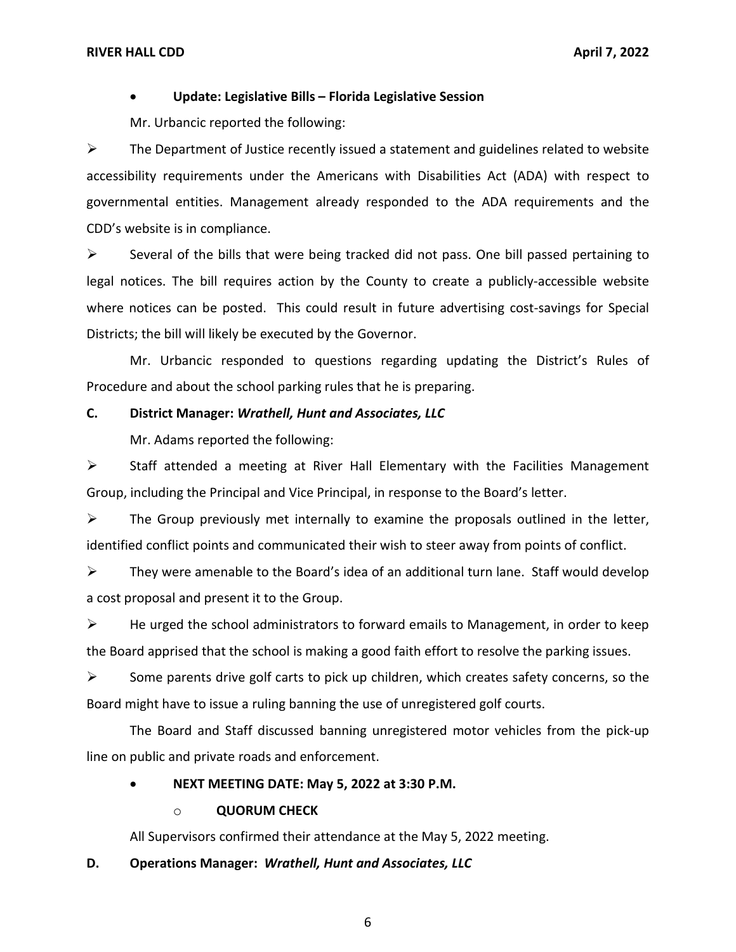# • **Update: Legislative Bills – Florida Legislative Session**

Mr. Urbancic reported the following:

 $\triangleright$  The Department of Justice recently issued a statement and guidelines related to website accessibility requirements under the Americans with Disabilities Act (ADA) with respect to governmental entities. Management already responded to the ADA requirements and the CDD's website is in compliance.

 $\triangleright$  Several of the bills that were being tracked did not pass. One bill passed pertaining to legal notices. The bill requires action by the County to create a publicly-accessible website where notices can be posted. This could result in future advertising cost-savings for Special Districts; the bill will likely be executed by the Governor.

Mr. Urbancic responded to questions regarding updating the District's Rules of Procedure and about the school parking rules that he is preparing.

# **C. District Manager:** *Wrathell, Hunt and Associates, LLC*

Mr. Adams reported the following:

➢ Staff attended a meeting at River Hall Elementary with the Facilities Management Group, including the Principal and Vice Principal, in response to the Board's letter.

 $\triangleright$  The Group previously met internally to examine the proposals outlined in the letter, identified conflict points and communicated their wish to steer away from points of conflict.

 $\triangleright$  They were amenable to the Board's idea of an additional turn lane. Staff would develop a cost proposal and present it to the Group.

 $\triangleright$  He urged the school administrators to forward emails to Management, in order to keep the Board apprised that the school is making a good faith effort to resolve the parking issues.

 $\triangleright$  Some parents drive golf carts to pick up children, which creates safety concerns, so the Board might have to issue a ruling banning the use of unregistered golf courts.

The Board and Staff discussed banning unregistered motor vehicles from the pick-up line on public and private roads and enforcement.

# • **NEXT MEETING DATE: May 5, 2022 at 3:30 P.M.**

# o **QUORUM CHECK**

All Supervisors confirmed their attendance at the May 5, 2022 meeting.

# **D. Operations Manager:** *Wrathell, Hunt and Associates, LLC*

6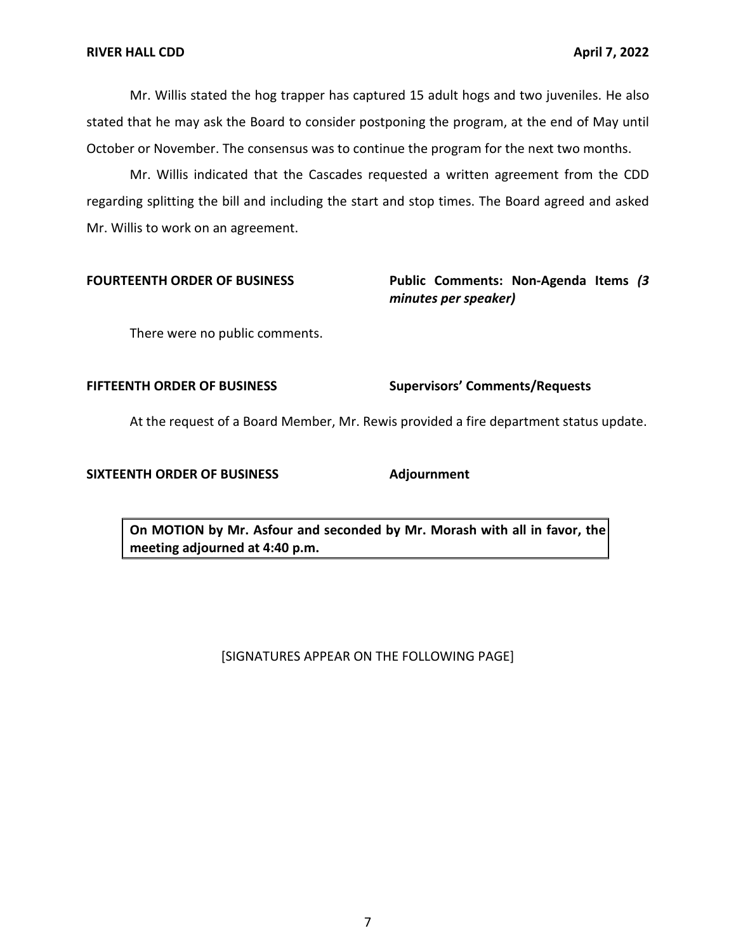Mr. Willis stated the hog trapper has captured 15 adult hogs and two juveniles. He also stated that he may ask the Board to consider postponing the program, at the end of May until October or November. The consensus was to continue the program for the next two months.

Mr. Willis indicated that the Cascades requested a written agreement from the CDD regarding splitting the bill and including the start and stop times. The Board agreed and asked Mr. Willis to work on an agreement.

# **FOURTEENTH ORDER OF BUSINESS Public Comments: Non-Agenda Items** *(3 minutes per speaker)*  There were no public comments. **FIFTEENTH ORDER OF BUSINESS Supervisors' Comments/Requests**

At the request of a Board Member, Mr. Rewis provided a fire department status update.

## **SIXTEENTH ORDER OF BUSINESS Adjournment**

 **On MOTION by Mr. Asfour and seconded by Mr. Morash with all in favor, the meeting adjourned at 4:40 p.m.** 

[SIGNATURES APPEAR ON THE FOLLOWING PAGE]